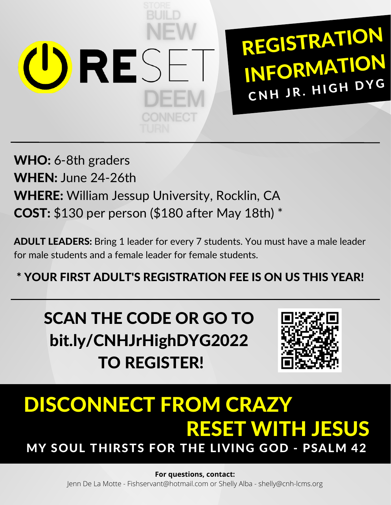

REGISTRATION INFORMATION CNH JR. HIGH DYG

WHO: 6-8th graders WHEN: June 24-26th WHERE: William Jessup University, Rocklin, CA COST: \$130 per person (\$180 after May 18th) \*

ADULT LEADERS: Bring 1 leader for every 7 students. You must have a male leader for male students and a female leader for female students.

\* YOUR FIRST ADULT'S REGISTRATION FEE IS ON US THIS YEAR!

SCAN THE CODE OR GO TO bit.ly/CNHJrHighDYG2022 TO REGISTER!



## DISCONNECT FROM CRAZY RESET WITH JESUS MY SOUL THIRSTS FOR THE LIVING GOD - PSALM 42

## **For questions, contact:**

Jenn De La Motte - Fishservant@hotmail.com or Shelly Alba - shelly@cnh-lcms.org